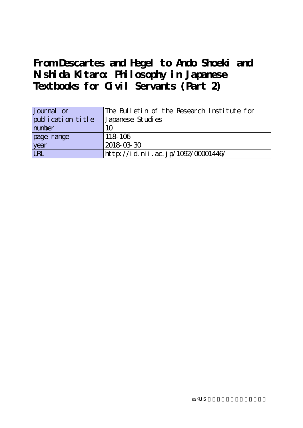# **From Descartes and Hegel to Ando Shoeki and Nishida Kitaro: Philosophy in Japanese Textbooks for Civil Servants (Part 2)**

| journal or        | The Bulletin of the Research Institute for |
|-------------------|--------------------------------------------|
| publication title | Japanese Studies                           |
| number            | 10                                         |
| page range        | 118-106                                    |
| year              | 2018-03-30                                 |
| <b>URL</b>        | http://id.nii.ac.jp/1092/00001446/         |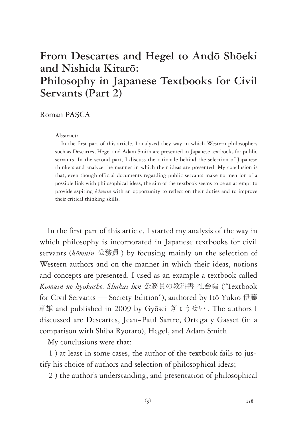# **From Descartes and Hegel to And**ō **Sh**ō**eki and Nishida Kitar**ō**: Philosophy in Japanese Textbooks for Civil Servants (Part 2)**

#### Roman PAŞCA

#### **Abstract:**

In the first part of this article, I analyzed they way in which Western philosophers such as Descartes, Hegel and Adam Smith are presented in Japanese textbooks for public servants. In the second part, I discuss the rationale behind the selection of Japanese thinkers and analyze the manner in which their ideas are presented. My conclusion is that, even though official documents regarding public servants make no mention of a possible link with philosophical ideas, the aim of the textbook seems to be an attempt to provide aspiring *k*ō*muin* with an opportunity to reflect on their duties and to improve their critical thinking skills.

In the first part of this article, I started my analysis of the way in which philosophy is incorporated in Japanese textbooks for civil servants (*k*ō*muin* 公務員 ) by focusing mainly on the selection of Western authors and on the manner in which their ideas, notions and concepts are presented. I used as an example a textbook called *K*ō*muin no ky*ō*kasho. Shakai hen* 公務員の教科書 社会編 ("Textbook for Civil Servants ― Society Edition"), authored by Itō Yukio 伊藤 章雄 and published in 2009 by Gyōsei ぎょうせい . The authors I discussed are Descartes, Jean-Paul Sartre, Ortega y Gasset (in a comparison with Shiba Ryōtarō), Hegel, and Adam Smith.

My conclusions were that:

1 ) at least in some cases, the author of the textbook fails to justify his choice of authors and selection of philosophical ideas;

2 ) the author's understanding, and presentation of philosophical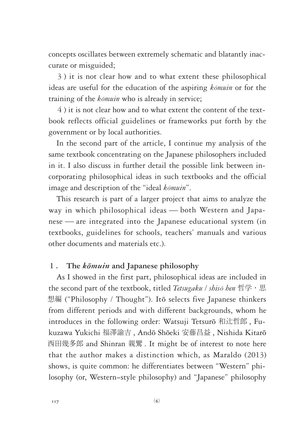concepts oscillates between extremely schematic and blatantly inaccurate or misguided;

3 ) it is not clear how and to what extent these philosophical ideas are useful for the education of the aspiring *k*ō*muin* or for the training of the *k*ō*muin* who is already in service;

4 ) it is not clear how and to what extent the content of the textbook reflects official guidelines or frameworks put forth by the government or by local authorities.

In the second part of the article, I continue my analysis of the same textbook concentrating on the Japanese philosophers included in it. I also discuss in further detail the possible link between incorporating philosophical ideas in such textbooks and the official image and description of the "ideal *k*ō*muin*".

This research is part of a larger project that aims to analyze the way in which philosophical ideas ― both Western and Japanese ― are integrated into the Japanese educational system (in textbooks, guidelines for schools, teachers' manuals and various other documents and materials etc.).

## **1 . The** *k*ō*muin* **and Japanese philosophy**

As I showed in the first part, philosophical ideas are included in the second part of the textbook, titled *Tetsugaku / shis*ō *hen* 哲学・思 想編 ("Philosophy / Thought"). Itō selects five Japanese thinkers from different periods and with different backgrounds, whom he introduces in the following order: Watsuji Tetsurō 和辻哲郎 , Fukuzawa Yukichi 福澤諭吉 , Andō Shōeki 安藤昌益 , Nishida Kitarō 西田幾多郎 and Shinran 親鸞 . It might be of interest to note here that the author makes a distinction which, as Maraldo (2013) shows, is quite common: he differentiates between "Western" philosophy (or, Western-style philosophy) and "Japanese" philosophy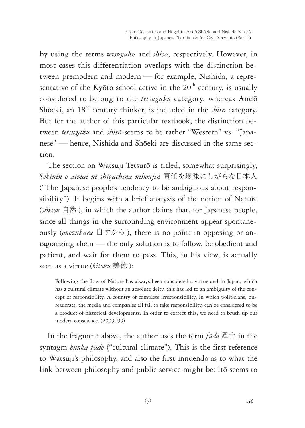by using the terms *tetsugaku* and *shis*ō, respectively. However, in most cases this differentiation overlaps with the distinction between premodern and modern ― for example, Nishida, a representative of the Kyōto school active in the  $20<sup>th</sup>$  century, is usually considered to belong to the *tetsugaku* category, whereas Andō Shōeki, an 18<sup>th</sup> century thinker, is included in the *shisō* category. But for the author of this particular textbook, the distinction between *tetsugaku* and *shis*ō seems to be rather "Western" vs. "Japanese" ― hence, Nishida and Shōeki are discussed in the same section.

The section on Watsuji Tetsurō is titled, somewhat surprisingly, *Sekinin o aimai ni shigachina nihonjin* 責任を曖昧にしがちな日本人 ("The Japanese people's tendency to be ambiguous about responsibility"). It begins with a brief analysis of the notion of Nature (*shizen* 自然 ), in which the author claims that, for Japanese people, since all things in the surrounding environment appear spontaneously (*onozukara* 自ずから ), there is no point in opposing or antagonizing them ― the only solution is to follow, be obedient and patient, and wait for them to pass. This, in his view, is actually seen as a virtue (*bitoku* 美徳 ):

Following the flow of Nature has always been considered a virtue and in Japan, which has a cultural climate without an absolute deity, this has led to an ambiguity of the concept of responsibility. A country of complete irresponsibility, in which politicians, bureaucrats, the media and companies all fail to take responsibility, can be considered to be a product of historical developments. In order to correct this, we need to brush up our modern conscience. (2009, 99)

In the fragment above, the author uses the term *f*ū*do* 風土 in the syntagm *bunka f*ū*do* ("cultural climate"). This is the first reference to Watsuji's philosophy, and also the first innuendo as to what the link between philosophy and public service might be: Itō seems to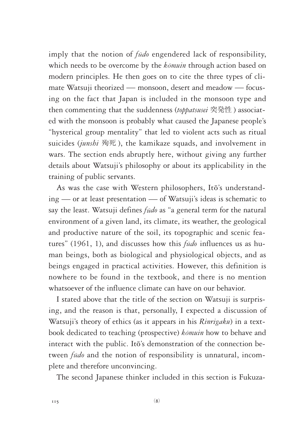imply that the notion of *f*ū*do* engendered lack of responsibility, which needs to be overcome by the *k*ō*muin* through action based on modern principles. He then goes on to cite the three types of climate Watsuji theorized ― monsoon, desert and meadow ― focusing on the fact that Japan is included in the monsoon type and then commenting that the suddenness (*toppatsusei* 突発性 ) associated with the monsoon is probably what caused the Japanese people's "hysterical group mentality" that led to violent acts such as ritual suicides (*junshi* 殉死 ), the kamikaze squads, and involvement in wars. The section ends abruptly here, without giving any further details about Watsuji's philosophy or about its applicability in the training of public servants.

As was the case with Western philosophers, Itō's understanding ― or at least presentation ― of Watsuji's ideas is schematic to say the least. Watsuji defines *f*ū*do* as "a general term for the natural environment of a given land, its climate, its weather, the geological and productive nature of the soil, its topographic and scenic features" (1961, 1), and discusses how this *f*ū*do* influences us as human beings, both as biological and physiological objects, and as beings engaged in practical activities. However, this definition is nowhere to be found in the textbook, and there is no mention whatsoever of the influence climate can have on our behavior.

I stated above that the title of the section on Watsuji is surprising, and the reason is that, personally, I expected a discussion of Watsuji's theory of ethics (as it appears in his *Rinrigaku*) in a textbook dedicated to teaching (prospective) *k*ō*muin* how to behave and interact with the public. Itō's demonstration of the connection between *f*ū*do* and the notion of responsibility is unnatural, incomplete and therefore unconvincing.

The second Japanese thinker included in this section is Fukuza-

(8)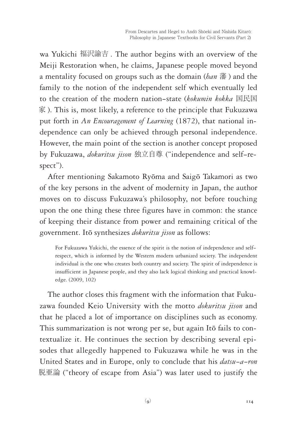wa Yukichi 福沢諭吉 . The author begins with an overview of the Meiji Restoration when, he claims, Japanese people moved beyond a mentality focused on groups such as the domain (*han* 藩 ) and the family to the notion of the independent self which eventually led to the creation of the modern nation-state (*kokumin kokka* 国民国 家 ). This is, most likely, a reference to the principle that Fukuzawa put forth in *An Encouragement of Learning* (1872), that national independence can only be achieved through personal independence. However, the main point of the section is another concept proposed by Fukuzawa, *dokuritsu jison* 独立自尊 ("independence and self-respect").

After mentioning Sakamoto Ryōma and Saigō Takamori as two of the key persons in the advent of modernity in Japan, the author moves on to discuss Fukuzawa's philosophy, not before touching upon the one thing these three figures have in common: the stance of keeping their distance from power and remaining critical of the government. Itō synthesizes *dokuritsu jison* as follows:

For Fukuzawa Yukichi, the essence of the spirit is the notion of independence and selfrespect, which is informed by the Western modern urbanized society. The independent individual is the one who creates both country and society. The spirit of independence is insufficient in Japanese people, and they also lack logical thinking and practical knowledge. (2009, 102)

The author closes this fragment with the information that Fukuzawa founded Keio University with the motto *dokuritsu jison* and that he placed a lot of importance on disciplines such as economy. This summarization is not wrong per se, but again Itō fails to contextualize it. He continues the section by describing several episodes that allegedly happened to Fukuzawa while he was in the United States and in Europe, only to conclude that his *datsu-a-ron* 脱亜論 ("theory of escape from Asia") was later used to justify the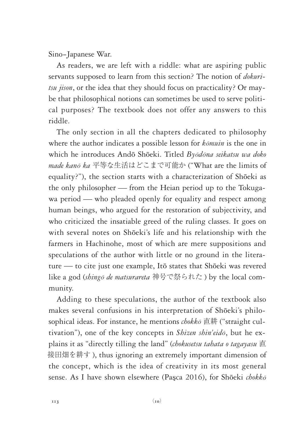Sino-Japanese War.

As readers, we are left with a riddle: what are aspiring public servants supposed to learn from this section? The notion of *dokuritsu jison*, or the idea that they should focus on practicality? Or maybe that philosophical notions can sometimes be used to serve political purposes? The textbook does not offer any answers to this riddle.

The only section in all the chapters dedicated to philosophy where the author indicates a possible lesson for *k*ō*muin* is the one in which he introduces Andō Shōeki. Titled *By*ō*d*ō*na seikatsu wa doko made kan*ō *ka* 平等な生活はどこまで可能か ("What are the limits of equality?"), the section starts with a characterization of Shōeki as the only philosopher ― from the Heian period up to the Tokugawa period — who pleaded openly for equality and respect among human beings, who argued for the restoration of subjectivity, and who criticized the insatiable greed of the ruling classes. It goes on with several notes on Shōeki's life and his relationship with the farmers in Hachinohe, most of which are mere suppositions and speculations of the author with little or no ground in the literature ― to cite just one example, Itō states that Shōeki was revered like a god (*shing*ō *de matsurareta* 神号で祭られた ) by the local community.

Adding to these speculations, the author of the textbook also makes several confusions in his interpretation of Shōeki's philosophical ideas. For instance, he mentions *chokk*ō 直耕 ("straight cultivation"), one of the key concepts in *Shizen shin'eid*ō, but he explains it as "directly tilling the land" (*chokusetsu tahata o tagayasu* 直 接田畑を耕す ), thus ignoring an extremely important dimension of the concept, which is the idea of creativity in its most general sense. As I have shown elsewhere (Paşca 2016), for Shōeki *chokk*ō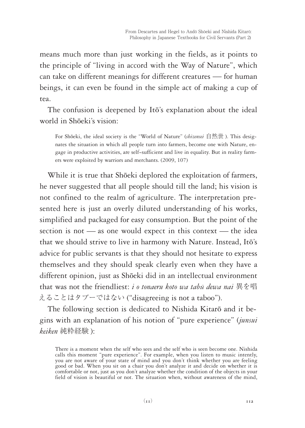means much more than just working in the fields, as it points to the principle of "living in accord with the Way of Nature", which can take on different meanings for different creatures ― for human beings, it can even be found in the simple act of making a cup of tea.

The confusion is deepened by Itō's explanation about the ideal world in Shōeki's vision:

For Shōeki, the ideal society is the "World of Nature" (*shizensei* 自然世 ). This designates the situation in which all people turn into farmers, become one with Nature, engage in productive activities, are self-sufficient and live in equality. But in reality farmers were exploited by warriors and merchants. (2009, 107)

While it is true that Shōeki deplored the exploitation of farmers, he never suggested that all people should till the land; his vision is not confined to the realm of agriculture. The interpretation presented here is just an overly diluted understanding of his works, simplified and packaged for easy consumption. But the point of the section is not — as one would expect in this context — the idea that we should strive to live in harmony with Nature. Instead, Itō's advice for public servants is that they should not hesitate to express themselves and they should speak clearly even when they have a different opinion, just as Shōeki did in an intellectual environment that was not the friendliest: *i o tonaeru koto wa tab*ū *dewa nai* 異を唱 えることはタブーではない ("disagreeing is not a taboo").

The following section is dedicated to Nishida Kitarō and it begins with an explanation of his notion of "pure experience" (*junsui keiken* 純粋経験 ):

There is a moment when the self who sees and the self who is seen become one. Nishida calls this moment "pure experience". For example, when you listen to music intently, you are not aware of your state of mind and you don't think whether you are feeling good or bad. When you sit on a chair you don't analyze it and decide on whether it is comfortable or not, just as you don't analyze whether the condition of the objects in your field of vision is beautiful or not. The situation when, without awareness of the mind,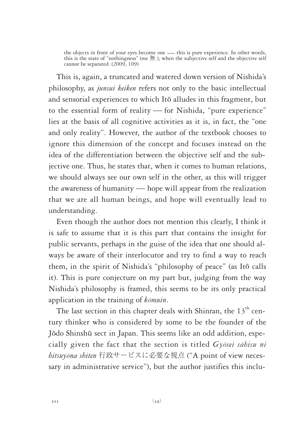the objects in front of your eyes become one — this is pure experience. In other words, this is the state of "nothingness" ( $mu \text{ \#t}$ ), when the subjective self and the objective self cannot be separated. (2009, 109)

This is, again, a truncated and watered down version of Nishida's philosophy, as *junsui keiken* refers not only to the basic intellectual and sensorial experiences to which Itō alludes in this fragment, but to the essential form of reality ― for Nishida, "pure experience" lies at the basis of all cognitive activities as it is, in fact, the "one and only reality". However, the author of the textbook chooses to ignore this dimension of the concept and focuses instead on the idea of the differentiation between the objective self and the subjective one. Thus, he states that, when it comes to human relations, we should always see our own self in the other, as this will trigger the awareness of humanity ― hope will appear from the realization that we are all human beings, and hope will eventually lead to understanding.

Even though the author does not mention this clearly, I think it is safe to assume that it is this part that contains the insight for public servants, perhaps in the guise of the idea that one should always be aware of their interlocutor and try to find a way to reach them, in the spirit of Nishida's "philosophy of peace" (as Itō calls it). This is pure conjecture on my part but, judging from the way Nishida's philosophy is framed, this seems to be its only practical application in the training of *k*ō*muin*.

The last section in this chapter deals with Shinran, the  $13<sup>th</sup>$  century thinker who is considered by some to be the founder of the Jōdo Shinshū sect in Japan. This seems like an odd addition, especially given the fact that the section is titled *Gy*ō*sei s*ā*bisu ni hitsuy*ō*na shiten* 行政サービスに必要な視点 ("A point of view necessary in administrative service"), but the author justifies this inclu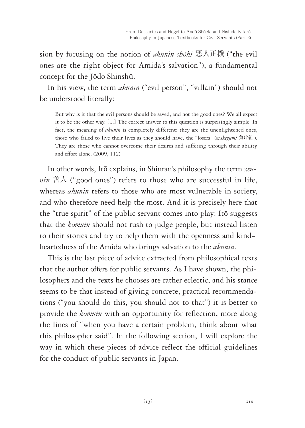sion by focusing on the notion of *akunin sh*ō*ki* 悪人正機 ("the evil ones are the right object for Amida's salvation"), a fundamental concept for the Jōdo Shinshū.

In his view, the term *akunin* ("evil person", "villain") should not be understood literally:

But why is it that the evil persons should be saved, and not the good ones? We all expect it to be the other way. [...] The correct answer to this question is surprisingly simple. In fact, the meaning of *akunin* is completely different: they are the unenlightened ones, those who failed to live their lives as they should have, the "losers" (*makegumi* 負け組 ). They are those who cannot overcome their desires and suffering through their ability and effort alone. (2009, 112)

In other words, Itō explains, in Shinran's philosophy the term *zennin*  $\#$  $\wedge$  ("good ones") refers to those who are successful in life, whereas *akunin* refers to those who are most vulnerable in society, and who therefore need help the most. And it is precisely here that the "true spirit" of the public servant comes into play: Itō suggests that the *k*ō*muin* should not rush to judge people, but instead listen to their stories and try to help them with the openness and kindheartedness of the Amida who brings salvation to the *akunin*.

This is the last piece of advice extracted from philosophical texts that the author offers for public servants. As I have shown, the philosophers and the texts he chooses are rather eclectic, and his stance seems to be that instead of giving concrete, practical recommendations ("you should do this, you should not to that") it is better to provide the *k*ō*muin* with an opportunity for reflection, more along the lines of "when you have a certain problem, think about what this philosopher said". In the following section, I will explore the way in which these pieces of advice reflect the official guidelines for the conduct of public servants in Japan.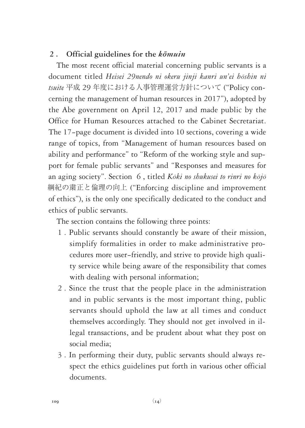# **2 . Official guidelines for the** *k*ō*muin*

The most recent official material concerning public servants is a document titled *Heisei 29nendo ni okeru jinji kanri un'ei h*ō*shin ni tsuite* 平成 29 年度における人事管理運営方針について ("Policy concerning the management of human resources in 2017"), adopted by the Abe government on April 12, 2017 and made public by the Office for Human Resources attached to the Cabinet Secretariat. The 17-page document is divided into 10 sections, covering a wide range of topics, from "Management of human resources based on ability and performance" to "Reform of the working style and support for female public servants" and "Responses and measures for an aging society". Section 6 , titled *K*ō*ki no shukusei to rinri no k*ō*j*ō 綱紀の粛正と倫理の向上 ("Enforcing discipline and improvement of ethics"), is the only one specifically dedicated to the conduct and ethics of public servants.

The section contains the following three points:

- 1 . Public servants should constantly be aware of their mission, simplify formalities in order to make administrative procedures more user-friendly, and strive to provide high quality service while being aware of the responsibility that comes with dealing with personal information;
- 2 . Since the trust that the people place in the administration and in public servants is the most important thing, public servants should uphold the law at all times and conduct themselves accordingly. They should not get involved in illegal transactions, and be prudent about what they post on social media;
- 3 . In performing their duty, public servants should always respect the ethics guidelines put forth in various other official documents.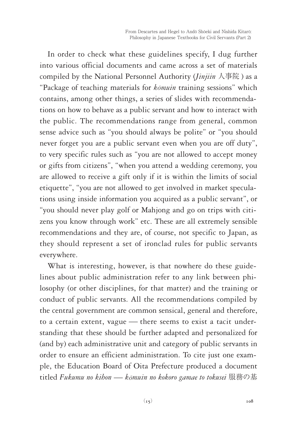In order to check what these guidelines specify, I dug further into various official documents and came across a set of materials compiled by the National Personnel Authority (*Jinjiin* 人事院 ) as a "Package of teaching materials for *k*ō*muin* training sessions" which contains, among other things, a series of slides with recommendations on how to behave as a public servant and how to interact with the public. The recommendations range from general, common sense advice such as "you should always be polite" or "you should never forget you are a public servant even when you are off duty", to very specific rules such as "you are not allowed to accept money or gifts from citizens", "when you attend a wedding ceremony, you are allowed to receive a gift only if it is within the limits of social etiquette", "you are not allowed to get involved in market speculations using inside information you acquired as a public servant", or "you should never play golf or Mahjong and go on trips with citizens you know through work" etc. These are all extremely sensible recommendations and they are, of course, not specific to Japan, as they should represent a set of ironclad rules for public servants everywhere.

What is interesting, however, is that nowhere do these guidelines about public administration refer to any link between philosophy (or other disciplines, for that matter) and the training or conduct of public servants. All the recommendations compiled by the central government are common sensical, general and therefore, to a certain extent, vague ― there seems to exist a tacit understanding that these should be further adapted and personalized for (and by) each administrative unit and category of public servants in order to ensure an efficient administration. To cite just one example, the Education Board of Oita Prefecture produced a document titled *Fukumu no kihon* ― *k*ō*muin no kokoro gamae to tokusei* 服務の基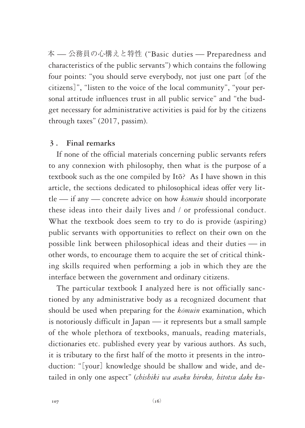本 ― 公務員の心構えと特性 ("Basic duties ― Preparedness and characteristics of the public servants") which contains the following four points: "you should serve everybody, not just one part [of the citizens]", "listen to the voice of the local community", "your personal attitude influences trust in all public service" and "the budget necessary for administrative activities is paid for by the citizens through taxes" (2017, passim).

## **3 . Final remarks**

If none of the official materials concerning public servants refers to any connexion with philosophy, then what is the purpose of a textbook such as the one compiled by Itō? As I have shown in this article, the sections dedicated to philosophical ideas offer very little ― if any ― concrete advice on how *k*ō*muin* should incorporate these ideas into their daily lives and / or professional conduct. What the textbook does seem to try to do is provide (aspiring) public servants with opportunities to reflect on their own on the possible link between philosophical ideas and their duties ― in other words, to encourage them to acquire the set of critical thinking skills required when performing a job in which they are the interface between the government and ordinary citizens.

The particular textbook I analyzed here is not officially sanctioned by any administrative body as a recognized document that should be used when preparing for the *k*ō*muin* examination, which is notoriously difficult in Japan ― it represents but a small sample of the whole plethora of textbooks, manuals, reading materials, dictionaries etc. published every year by various authors. As such, it is tributary to the first half of the motto it presents in the introduction: "[your] knowledge should be shallow and wide, and detailed in only one aspect" (*chishiki wa asaku hiroku, hitotsu dake ku-*